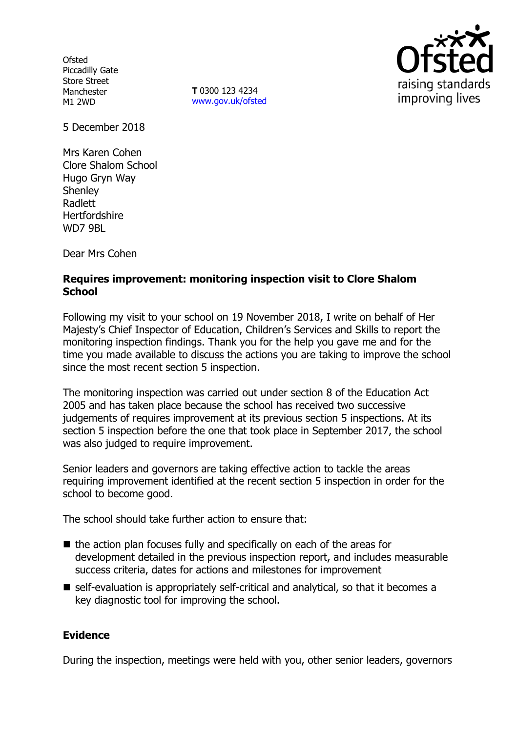**Ofsted** Piccadilly Gate Store Street Manchester M1 2WD

**T** 0300 123 4234 www.gov.uk/ofsted



5 December 2018

Mrs Karen Cohen Clore Shalom School Hugo Gryn Way **Shenley** Radlett **Hertfordshire** WD7 9BL

Dear Mrs Cohen

## **Requires improvement: monitoring inspection visit to Clore Shalom School**

Following my visit to your school on 19 November 2018, I write on behalf of Her Majesty's Chief Inspector of Education, Children's Services and Skills to report the monitoring inspection findings. Thank you for the help you gave me and for the time you made available to discuss the actions you are taking to improve the school since the most recent section 5 inspection.

The monitoring inspection was carried out under section 8 of the Education Act 2005 and has taken place because the school has received two successive judgements of requires improvement at its previous section 5 inspections. At its section 5 inspection before the one that took place in September 2017, the school was also judged to require improvement.

Senior leaders and governors are taking effective action to tackle the areas requiring improvement identified at the recent section 5 inspection in order for the school to become good.

The school should take further action to ensure that:

- $\blacksquare$  the action plan focuses fully and specifically on each of the areas for development detailed in the previous inspection report, and includes measurable success criteria, dates for actions and milestones for improvement
- self-evaluation is appropriately self-critical and analytical, so that it becomes a key diagnostic tool for improving the school.

# **Evidence**

During the inspection, meetings were held with you, other senior leaders, governors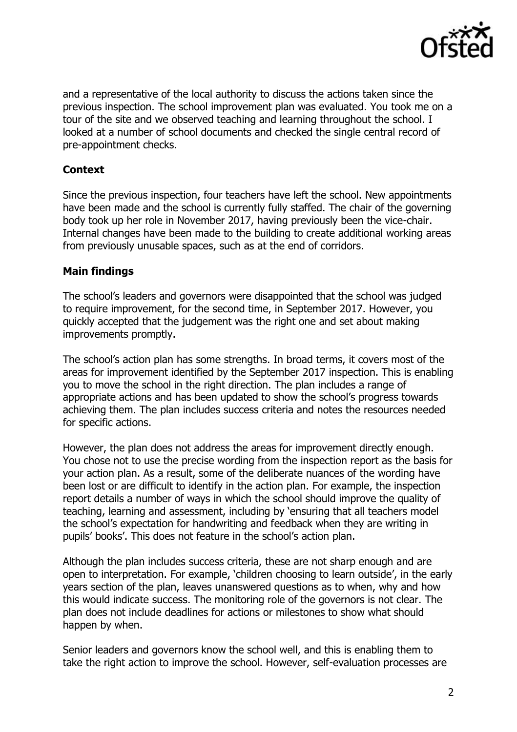

and a representative of the local authority to discuss the actions taken since the previous inspection. The school improvement plan was evaluated. You took me on a tour of the site and we observed teaching and learning throughout the school. I looked at a number of school documents and checked the single central record of pre-appointment checks.

## **Context**

Since the previous inspection, four teachers have left the school. New appointments have been made and the school is currently fully staffed. The chair of the governing body took up her role in November 2017, having previously been the vice-chair. Internal changes have been made to the building to create additional working areas from previously unusable spaces, such as at the end of corridors.

## **Main findings**

The school's leaders and governors were disappointed that the school was judged to require improvement, for the second time, in September 2017. However, you quickly accepted that the judgement was the right one and set about making improvements promptly.

The school's action plan has some strengths. In broad terms, it covers most of the areas for improvement identified by the September 2017 inspection. This is enabling you to move the school in the right direction. The plan includes a range of appropriate actions and has been updated to show the school's progress towards achieving them. The plan includes success criteria and notes the resources needed for specific actions.

However, the plan does not address the areas for improvement directly enough. You chose not to use the precise wording from the inspection report as the basis for your action plan. As a result, some of the deliberate nuances of the wording have been lost or are difficult to identify in the action plan. For example, the inspection report details a number of ways in which the school should improve the quality of teaching, learning and assessment, including by 'ensuring that all teachers model the school's expectation for handwriting and feedback when they are writing in pupils' books'. This does not feature in the school's action plan.

Although the plan includes success criteria, these are not sharp enough and are open to interpretation. For example, 'children choosing to learn outside', in the early years section of the plan, leaves unanswered questions as to when, why and how this would indicate success. The monitoring role of the governors is not clear. The plan does not include deadlines for actions or milestones to show what should happen by when.

Senior leaders and governors know the school well, and this is enabling them to take the right action to improve the school. However, self-evaluation processes are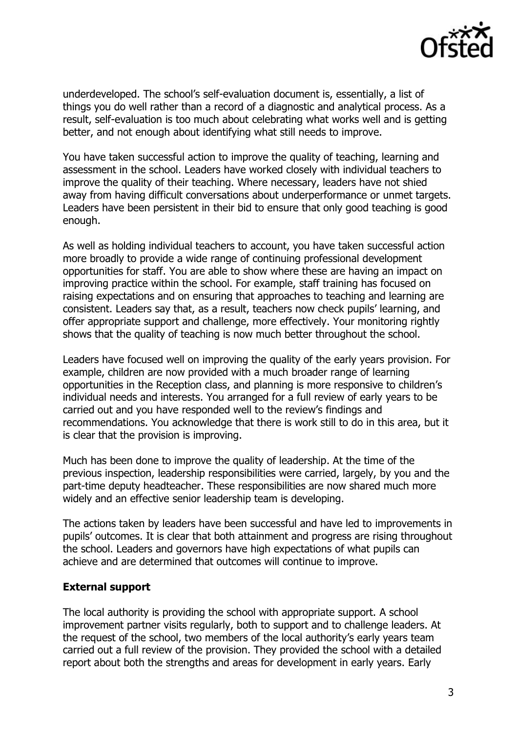

underdeveloped. The school's self-evaluation document is, essentially, a list of things you do well rather than a record of a diagnostic and analytical process. As a result, self-evaluation is too much about celebrating what works well and is getting better, and not enough about identifying what still needs to improve.

You have taken successful action to improve the quality of teaching, learning and assessment in the school. Leaders have worked closely with individual teachers to improve the quality of their teaching. Where necessary, leaders have not shied away from having difficult conversations about underperformance or unmet targets. Leaders have been persistent in their bid to ensure that only good teaching is good enough.

As well as holding individual teachers to account, you have taken successful action more broadly to provide a wide range of continuing professional development opportunities for staff. You are able to show where these are having an impact on improving practice within the school. For example, staff training has focused on raising expectations and on ensuring that approaches to teaching and learning are consistent. Leaders say that, as a result, teachers now check pupils' learning, and offer appropriate support and challenge, more effectively. Your monitoring rightly shows that the quality of teaching is now much better throughout the school.

Leaders have focused well on improving the quality of the early years provision. For example, children are now provided with a much broader range of learning opportunities in the Reception class, and planning is more responsive to children's individual needs and interests. You arranged for a full review of early years to be carried out and you have responded well to the review's findings and recommendations. You acknowledge that there is work still to do in this area, but it is clear that the provision is improving.

Much has been done to improve the quality of leadership. At the time of the previous inspection, leadership responsibilities were carried, largely, by you and the part-time deputy headteacher. These responsibilities are now shared much more widely and an effective senior leadership team is developing.

The actions taken by leaders have been successful and have led to improvements in pupils' outcomes. It is clear that both attainment and progress are rising throughout the school. Leaders and governors have high expectations of what pupils can achieve and are determined that outcomes will continue to improve.

## **External support**

The local authority is providing the school with appropriate support. A school improvement partner visits regularly, both to support and to challenge leaders. At the request of the school, two members of the local authority's early years team carried out a full review of the provision. They provided the school with a detailed report about both the strengths and areas for development in early years. Early